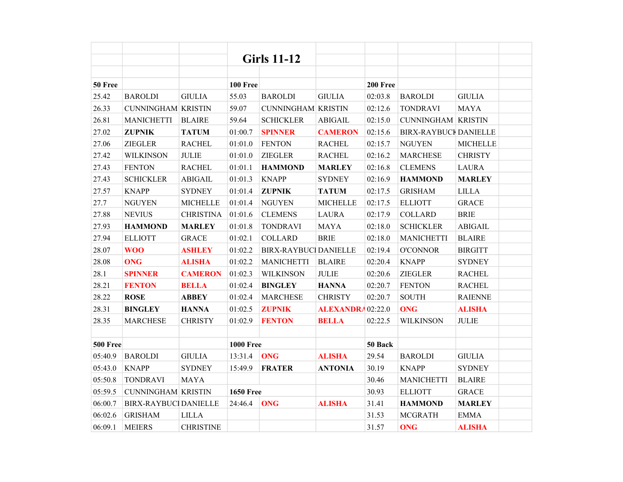|                 |                             |                  |                  | <b>Girls 11-12</b>          |                          |          |                              |                 |  |
|-----------------|-----------------------------|------------------|------------------|-----------------------------|--------------------------|----------|------------------------------|-----------------|--|
|                 |                             |                  |                  |                             |                          |          |                              |                 |  |
| 50 Free         |                             |                  | <b>100 Free</b>  |                             |                          | 200 Free |                              |                 |  |
| 25.42           | <b>BAROLDI</b>              | <b>GIULIA</b>    | 55.03            | <b>BAROLDI</b>              | <b>GIULIA</b>            | 02:03.8  | <b>BAROLDI</b>               | <b>GIULIA</b>   |  |
| 26.33           | <b>CUNNINGHAM KRISTIN</b>   |                  | 59.07            | <b>CUNNINGHAM KRISTIN</b>   |                          | 02:12.6  | <b>TONDRAVI</b>              | <b>MAYA</b>     |  |
| 26.81           | <b>MANICHETTI</b>           | <b>BLAIRE</b>    | 59.64            | <b>SCHICKLER</b>            | <b>ABIGAIL</b>           | 02:15.0  | <b>CUNNINGHAM KRISTIN</b>    |                 |  |
| 27.02           | <b>ZUPNIK</b>               | <b>TATUM</b>     | 01:00.7          | <b>SPINNER</b>              | <b>CAMERON</b>           | 02:15.6  | <b>BIRX-RAYBUCI DANIELLE</b> |                 |  |
| 27.06           | <b>ZIEGLER</b>              | <b>RACHEL</b>    | 01:01.0          | <b>FENTON</b>               | <b>RACHEL</b>            | 02:15.7  | <b>NGUYEN</b>                | <b>MICHELLE</b> |  |
| 27.42           | <b>WILKINSON</b>            | <b>JULIE</b>     | 01:01.0          | ZIEGLER                     | <b>RACHEL</b>            | 02:16.2  | <b>MARCHESE</b>              | <b>CHRISTY</b>  |  |
| 27.43           | <b>FENTON</b>               | <b>RACHEL</b>    | 01:01.1          | <b>HAMMOND</b>              | <b>MARLEY</b>            | 02:16.8  | <b>CLEMENS</b>               | <b>LAURA</b>    |  |
| 27.43           | <b>SCHICKLER</b>            | <b>ABIGAIL</b>   | 01:01.3          | <b>KNAPP</b>                | <b>SYDNEY</b>            | 02:16.9  | <b>HAMMOND</b>               | <b>MARLEY</b>   |  |
| 27.57           | <b>KNAPP</b>                | <b>SYDNEY</b>    | 01:01.4          | <b>ZUPNIK</b>               | <b>TATUM</b>             | 02:17.5  | <b>GRISHAM</b>               | <b>LILLA</b>    |  |
| 27.7            | <b>NGUYEN</b>               | <b>MICHELLE</b>  | 01:01.4          | <b>NGUYEN</b>               | <b>MICHELLE</b>          | 02:17.5  | <b>ELLIOTT</b>               | <b>GRACE</b>    |  |
| 27.88           | <b>NEVIUS</b>               | <b>CHRISTINA</b> | 01:01.6          | <b>CLEMENS</b>              | <b>LAURA</b>             | 02:17.9  | <b>COLLARD</b>               | <b>BRIE</b>     |  |
| 27.93           | <b>HAMMOND</b>              | <b>MARLEY</b>    | 01:01.8          | <b>TONDRAVI</b>             | <b>MAYA</b>              | 02:18.0  | <b>SCHICKLER</b>             | <b>ABIGAIL</b>  |  |
| 27.94           | <b>ELLIOTT</b>              | <b>GRACE</b>     | 01:02.1          | <b>COLLARD</b>              | <b>BRIE</b>              | 02:18.0  | <b>MANICHETTI</b>            | <b>BLAIRE</b>   |  |
| 28.07           | <b>WOO</b>                  | <b>ASHLEY</b>    | 01:02.2          | <b>BIRX-RAYBUC DANIELLE</b> |                          | 02:19.4  | <b>O'CONNOR</b>              | <b>BIRGITT</b>  |  |
| 28.08           | <b>ONG</b>                  | <b>ALISHA</b>    | 01:02.2          | <b>MANICHETTI</b>           | <b>BLAIRE</b>            | 02:20.4  | <b>KNAPP</b>                 | <b>SYDNEY</b>   |  |
| 28.1            | <b>SPINNER</b>              | <b>CAMERON</b>   | 01:02.3          | <b>WILKINSON</b>            | <b>JULIE</b>             | 02:20.6  | <b>ZIEGLER</b>               | <b>RACHEL</b>   |  |
| 28.21           | <b>FENTON</b>               | <b>BELLA</b>     | 01:02.4          | <b>BINGLEY</b>              | <b>HANNA</b>             | 02:20.7  | <b>FENTON</b>                | <b>RACHEL</b>   |  |
| 28.22           | <b>ROSE</b>                 | <b>ABBEY</b>     | 01:02.4          | <b>MARCHESE</b>             | <b>CHRISTY</b>           | 02:20.7  | <b>SOUTH</b>                 | <b>RAIENNE</b>  |  |
| 28.31           | <b>BINGLEY</b>              | <b>HANNA</b>     | 01:02.5          | <b>ZUPNIK</b>               | <b>ALEXANDRA</b> 02:22.0 |          | <b>ONG</b>                   | <b>ALISHA</b>   |  |
| 28.35           | <b>MARCHESE</b>             | <b>CHRISTY</b>   | 01:02.9          | <b>FENTON</b>               | <b>BELLA</b>             | 02:22.5  | <b>WILKINSON</b>             | <b>JULIE</b>    |  |
|                 |                             |                  |                  |                             |                          |          |                              |                 |  |
| <b>500 Free</b> |                             |                  | <b>1000 Free</b> |                             |                          | 50 Back  |                              |                 |  |
| 05:40.9         | <b>BAROLDI</b>              | <b>GIULIA</b>    | 13:31.4          | <b>ONG</b>                  | <b>ALISHA</b>            | 29.54    | <b>BAROLDI</b>               | <b>GIULIA</b>   |  |
| 05:43.0         | <b>KNAPP</b>                | <b>SYDNEY</b>    | 15:49.9          | <b>FRATER</b>               | <b>ANTONIA</b>           | 30.19    | <b>KNAPP</b>                 | <b>SYDNEY</b>   |  |
| 05:50.8         | <b>TONDRAVI</b>             | <b>MAYA</b>      |                  |                             |                          | 30.46    | <b>MANICHETTI</b>            | <b>BLAIRE</b>   |  |
| 05:59.5         | <b>CUNNINGHAM KRISTIN</b>   |                  | <b>1650 Free</b> |                             |                          | 30.93    | <b>ELLIOTT</b>               | <b>GRACE</b>    |  |
| 06:00.7         | <b>BIRX-RAYBUC DANIELLE</b> |                  | 24:46.4          | <b>ONG</b>                  | <b>ALISHA</b>            | 31.41    | <b>HAMMOND</b>               | <b>MARLEY</b>   |  |
| 06:02.6         | <b>GRISHAM</b>              | <b>LILLA</b>     |                  |                             |                          | 31.53    | <b>MCGRATH</b>               | <b>EMMA</b>     |  |
| 06:09.1         | <b>MEIERS</b>               | <b>CHRISTINE</b> |                  |                             |                          | 31.57    | <b>ONG</b>                   | <b>ALISHA</b>   |  |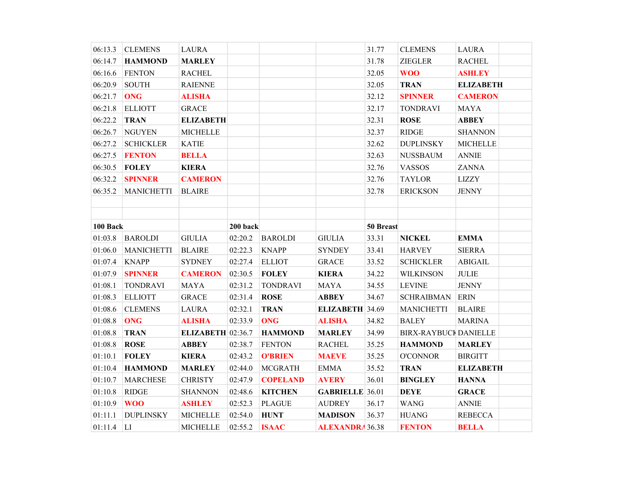| 06:13.3  | <b>CLEMENS</b>    | <b>LAURA</b>             |          |                 |                        | 31.77     | <b>CLEMENS</b>               | <b>LAURA</b>           |  |
|----------|-------------------|--------------------------|----------|-----------------|------------------------|-----------|------------------------------|------------------------|--|
| 06:14.7  | <b>HAMMOND</b>    | <b>MARLEY</b>            |          |                 |                        | 31.78     | <b>ZIEGLER</b>               | <b>RACHEL</b>          |  |
| 06:16.6  | <b>FENTON</b>     | <b>RACHEL</b>            |          |                 |                        | 32.05     | <b>WOO</b>                   | <b>ASHLEY</b>          |  |
| 06:20.9  | <b>SOUTH</b>      | <b>RAIENNE</b>           |          |                 |                        | 32.05     | <b>TRAN</b>                  | <b>ELIZABETH</b>       |  |
| 06:21.7  | <b>ONG</b>        | <b>ALISHA</b>            |          |                 |                        | 32.12     | <b>SPINNER</b>               | <b>CAMERON</b>         |  |
| 06:21.8  | <b>ELLIOTT</b>    | <b>GRACE</b>             |          |                 |                        | 32.17     | <b>TONDRAVI</b>              | <b>MAYA</b>            |  |
| 06:22.2  | <b>TRAN</b>       | <b>ELIZABETH</b>         |          |                 |                        | 32.31     | <b>ROSE</b>                  | <b>ABBEY</b>           |  |
| 06:26.7  | <b>NGUYEN</b>     | <b>MICHELLE</b>          |          |                 |                        | 32.37     | <b>RIDGE</b>                 | <b>SHANNON</b>         |  |
| 06:27.2  | <b>SCHICKLER</b>  | <b>KATIE</b>             |          |                 |                        | 32.62     | <b>DUPLINSKY</b>             | <b>MICHELLE</b>        |  |
| 06:27.5  | <b>FENTON</b>     | <b>BELLA</b>             |          |                 |                        | 32.63     | <b>NUSSBAUM</b>              | <b>ANNIE</b>           |  |
| 06:30.5  | <b>FOLEY</b>      | <b>KIERA</b>             |          |                 |                        | 32.76     | <b>VASSOS</b>                | <b>ZANNA</b>           |  |
| 06:32.2  | <b>SPINNER</b>    | <b>CAMERON</b>           |          |                 |                        | 32.76     | <b>TAYLOR</b>                | <b>LIZZY</b>           |  |
| 06:35.2  | <b>MANICHETTI</b> | <b>BLAIRE</b>            |          |                 |                        | 32.78     | <b>ERICKSON</b>              | <b>JENNY</b>           |  |
|          |                   |                          |          |                 |                        |           |                              |                        |  |
|          |                   |                          |          |                 |                        |           |                              |                        |  |
| 100 Back |                   |                          | 200 back |                 |                        | 50 Breast |                              |                        |  |
| 01:03.8  | <b>BAROLDI</b>    | <b>GIULIA</b>            | 02:20.2  | <b>BAROLDI</b>  | <b>GIULIA</b>          | 33.31     | <b>NICKEL</b>                | <b>EMMA</b>            |  |
| 01:06.0  | <b>MANICHETTI</b> | <b>BLAIRE</b>            | 02:22.3  | <b>KNAPP</b>    | <b>SYNDEY</b>          | 33.41     | <b>HARVEY</b>                | <b>SIERRA</b>          |  |
| 01:07.4  | <b>KNAPP</b>      | <b>SYDNEY</b>            | 02:27.4  | <b>ELLIOT</b>   | <b>GRACE</b>           | 33.52     | <b>SCHICKLER</b>             | <b>ABIGAIL</b>         |  |
| 01:07.9  | <b>SPINNER</b>    | <b>CAMERON</b>           | 02:30.5  | <b>FOLEY</b>    | <b>KIERA</b>           | 34.22     | <b>WILKINSON</b>             | $\sf JULIE$            |  |
| 01:08.1  | <b>TONDRAVI</b>   | <b>MAYA</b>              | 02:31.2  | <b>TONDRAVI</b> | <b>MAYA</b>            | 34.55     | <b>LEVINE</b>                | <b>JENNY</b>           |  |
| 01:08.3  | <b>ELLIOTT</b>    | <b>GRACE</b>             | 02:31.4  | <b>ROSE</b>     | <b>ABBEY</b>           | 34.67     | <b>SCHRAIBMAN</b>            | <b>ERIN</b>            |  |
| 01:08.6  | <b>CLEMENS</b>    | <b>LAURA</b>             | 02:32.1  | <b>TRAN</b>     | ELIZABETH 34.69        |           | <b>MANICHETTI</b>            | <b>BLAIRE</b>          |  |
| 01:08.8  | <b>ONG</b>        | <b>ALISHA</b>            | 02:33.9  | <b>ONG</b>      | <b>ALISHA</b>          | 34.82     | <b>BALEY</b>                 | <b>MARINA</b>          |  |
| 01:08.8  | <b>TRAN</b>       | <b>ELIZABETH</b> 02:36.7 |          | <b>HAMMOND</b>  | <b>MARLEY</b>          | 34.99     | <b>BIRX-RAYBUCI DANIELLE</b> |                        |  |
| 01:08.8  | <b>ROSE</b>       | <b>ABBEY</b>             | 02:38.7  | <b>FENTON</b>   | <b>RACHEL</b>          | 35.25     | <b>HAMMOND</b>               | <b>MARLEY</b>          |  |
| 01:10.1  | <b>FOLEY</b>      | <b>KIERA</b>             | 02:43.2  | <b>O'BRIEN</b>  | <b>MAEVE</b>           | 35.25     | <b>O'CONNOR</b>              | <b>BIRGITT</b>         |  |
| 01:10.4  | <b>HAMMOND</b>    | <b>MARLEY</b>            | 02:44.0  | <b>MCGRATH</b>  | <b>EMMA</b>            | 35.52     | <b>TRAN</b>                  | <b>ELIZABETH</b>       |  |
| 01:10.7  | <b>MARCHESE</b>   | <b>CHRISTY</b>           | 02:47.9  | <b>COPELAND</b> | <b>AVERY</b>           | 36.01     | <b>BINGLEY</b>               | <b>HANNA</b>           |  |
| 01:10.8  | <b>RIDGE</b>      | <b>SHANNON</b>           | 02:48.6  | <b>KITCHEN</b>  | <b>GABRIELLE</b> 36.01 |           | <b>DEYE</b>                  | <b>GRACE</b>           |  |
| 01:10.9  | <b>WOO</b>        | <b>ASHLEY</b>            | 02:52.3  | <b>PLAGUE</b>   | <b>AUDREY</b>          | 36.17     | <b>WANG</b>                  | $\operatorname{ANNIE}$ |  |
| 01:11.1  | <b>DUPLINSKY</b>  | <b>MICHELLE</b>          | 02:54.0  | <b>HUNT</b>     | <b>MADISON</b>         | 36.37     | <b>HUANG</b>                 | <b>REBECCA</b>         |  |
| 01:11.4  | LI                | <b>MICHELLE</b>          | 02:55.2  | <b>ISAAC</b>    | <b>ALEXANDRA</b> 36.38 |           | <b>FENTON</b>                | <b>BELLA</b>           |  |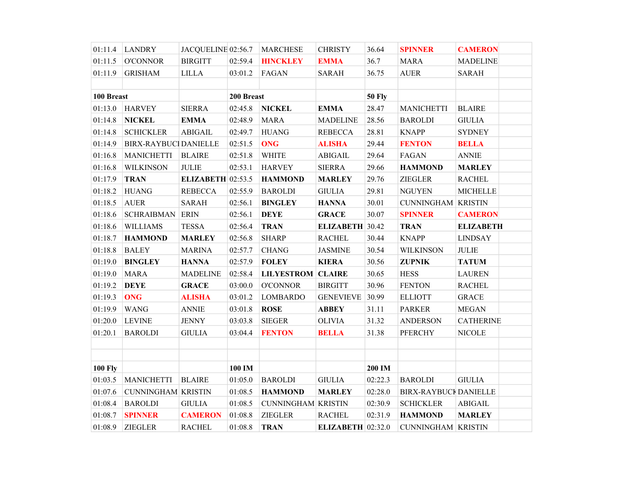|                | $01:11.4$ LANDRY            | JACQUELINE 02:56.7           |            | <b>MARCHESE</b>           | <b>CHRISTY</b>      | 36.64         | <b>SPINNER</b>               | <b>CAMERON</b>   |
|----------------|-----------------------------|------------------------------|------------|---------------------------|---------------------|---------------|------------------------------|------------------|
| 01:11.5        | <b>O'CONNOR</b>             | <b>BIRGITT</b>               | 02:59.4    | <b>HINCKLEY</b>           | <b>EMMA</b>         | 36.7          | <b>MARA</b>                  | <b>MADELINE</b>  |
| 01:11.9        | <b>GRISHAM</b>              | <b>LILLA</b>                 | 03:01.2    | FAGAN                     | <b>SARAH</b>        | 36.75         | <b>AUER</b>                  | <b>SARAH</b>     |
|                |                             |                              |            |                           |                     |               |                              |                  |
|                | 100 Breast                  |                              | 200 Breast |                           |                     | <b>50 Fly</b> |                              |                  |
| 01:13.0        | <b>HARVEY</b>               | <b>SIERRA</b>                | 02:45.8    | <b>NICKEL</b>             | <b>EMMA</b>         | 28.47         | <b>MANICHETTI</b>            | <b>BLAIRE</b>    |
| 01:14.8        | <b>NICKEL</b>               | <b>EMMA</b>                  | 02:48.9    | <b>MARA</b>               | <b>MADELINE</b>     | 28.56         | <b>BAROLDI</b>               | <b>GIULIA</b>    |
| 01:14.8        | <b>SCHICKLER</b>            | <b>ABIGAIL</b>               | 02:49.7    | <b>HUANG</b>              | <b>REBECCA</b>      | 28.81         | <b>KNAPP</b>                 | <b>SYDNEY</b>    |
| 01:14.9        | <b>BIRX-RAYBUC DANIELLE</b> |                              | 02:51.5    | <b>ONG</b>                | <b>ALISHA</b>       | 29.44         | <b>FENTON</b>                | <b>BELLA</b>     |
| 01:16.8        | <b>MANICHETTI</b>           | <b>BLAIRE</b>                | 02:51.8    | <b>WHITE</b>              | <b>ABIGAIL</b>      | 29.64         | FAGAN                        | <b>ANNIE</b>     |
| 01:16.8        | <b>WILKINSON</b>            | <b>JULIE</b>                 | 02:53.1    | <b>HARVEY</b>             | <b>SIERRA</b>       | 29.66         | <b>HAMMOND</b>               | <b>MARLEY</b>    |
| 01:17.9        | <b>TRAN</b>                 | <b>ELIZABETH</b> 02:53.5     |            | <b>HAMMOND</b>            | <b>MARLEY</b>       | 29.76         | <b>ZIEGLER</b>               | <b>RACHEL</b>    |
| 01:18.2        | <b>HUANG</b>                | <b>REBECCA</b>               | 02:55.9    | <b>BAROLDI</b>            | <b>GIULIA</b>       | 29.81         | <b>NGUYEN</b>                | <b>MICHELLE</b>  |
| 01:18.5        | <b>AUER</b>                 | <b>SARAH</b>                 | 02:56.1    | <b>BINGLEY</b>            | <b>HANNA</b>        | 30.01         | <b>CUNNINGHAM KRISTIN</b>    |                  |
| 01:18.6        | <b>SCHRAIBMAN</b>           | $\ensuremath{\mathsf{ERIN}}$ | 02:56.1    | <b>DEYE</b>               | <b>GRACE</b>        | 30.07         | <b>SPINNER</b>               | <b>CAMERON</b>   |
| 01:18.6        | <b>WILLIAMS</b>             | <b>TESSA</b>                 | 02:56.4    | <b>TRAN</b>               | ELIZABETH 30.42     |               | <b>TRAN</b>                  | <b>ELIZABETH</b> |
| 01:18.7        | <b>HAMMOND</b>              | <b>MARLEY</b>                | 02:56.8    | <b>SHARP</b>              | <b>RACHEL</b>       | 30.44         | <b>KNAPP</b>                 | <b>LINDSAY</b>   |
| 01:18.8        | <b>BALEY</b>                | <b>MARINA</b>                | 02:57.7    | <b>CHANG</b>              | <b>JASMINE</b>      | 30.54         | <b>WILKINSON</b>             | <b>JULIE</b>     |
| 01:19.0        | <b>BINGLEY</b>              | <b>HANNA</b>                 | 02:57.9    | <b>FOLEY</b>              | <b>KIERA</b>        | 30.56         | <b>ZUPNIK</b>                | <b>TATUM</b>     |
| 01:19.0        | <b>MARA</b>                 | <b>MADELINE</b>              | 02:58.4    | <b>LILYESTROM CLAIRE</b>  |                     | 30.65         | <b>HESS</b>                  | <b>LAUREN</b>    |
| 01:19.2        | <b>DEYE</b>                 | <b>GRACE</b>                 | 03:00.0    | <b>O'CONNOR</b>           | <b>BIRGITT</b>      | 30.96         | <b>FENTON</b>                | <b>RACHEL</b>    |
| 01:19.3        | <b>ONG</b>                  | <b>ALISHA</b>                | 03:01.2    | <b>LOMBARDO</b>           | <b>GENEVIEVE</b>    | 30.99         | <b>ELLIOTT</b>               | <b>GRACE</b>     |
| 01:19.9        | <b>WANG</b>                 | <b>ANNIE</b>                 | 03:01.8    | <b>ROSE</b>               | <b>ABBEY</b>        | 31.11         | <b>PARKER</b>                | <b>MEGAN</b>     |
| 01:20.0        | <b>LEVINE</b>               | <b>JENNY</b>                 | 03:03.8    | <b>SIEGER</b>             | <b>OLIVIA</b>       | 31.32         | <b>ANDERSON</b>              | <b>CATHERINE</b> |
| 01:20.1        | <b>BAROLDI</b>              | <b>GIULIA</b>                | 03:04.4    | <b>FENTON</b>             | <b>BELLA</b>        | 31.38         | <b>PFERCHY</b>               | <b>NICOLE</b>    |
|                |                             |                              |            |                           |                     |               |                              |                  |
|                |                             |                              |            |                           |                     |               |                              |                  |
| <b>100 Fly</b> |                             |                              | 100 IM     |                           |                     | 200 IM        |                              |                  |
| 01:03.5        | <b>MANICHETTI</b>           | <b>BLAIRE</b>                | 01:05.0    | <b>BAROLDI</b>            | <b>GIULIA</b>       | 02:22.3       | <b>BAROLDI</b>               | <b>GIULIA</b>    |
| 01:07.6        | <b>CUNNINGHAM KRISTIN</b>   |                              | 01:08.5    | <b>HAMMOND</b>            | <b>MARLEY</b>       | 02:28.0       | <b>BIRX-RAYBUCI DANIELLE</b> |                  |
| 01:08.4        | <b>BAROLDI</b>              | <b>GIULIA</b>                | 01:08.5    | <b>CUNNINGHAM KRISTIN</b> |                     | 02:30.9       | <b>SCHICKLER</b>             | <b>ABIGAIL</b>   |
| 01:08.7        | <b>SPINNER</b>              | <b>CAMERON</b>               | 01:08.8    | <b>ZIEGLER</b>            | <b>RACHEL</b>       | 02:31.9       | <b>HAMMOND</b>               | <b>MARLEY</b>    |
| 01:08.9        | <b>ZIEGLER</b>              | <b>RACHEL</b>                | 01:08.8    | <b>TRAN</b>               | ELIZABETH $02:32.0$ |               | <b>CUNNINGHAM KRISTIN</b>    |                  |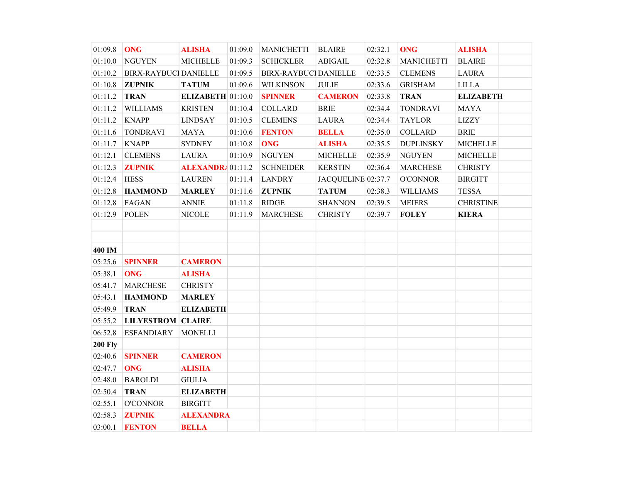| 01:09.8        | <b>ONG</b>                  | <b>ALISHA</b>       | 01:09.0 | <b>MANICHETTI</b>           | <b>BLAIRE</b>      | 02:32.1 | <b>ONG</b>        | <b>ALISHA</b>               |  |
|----------------|-----------------------------|---------------------|---------|-----------------------------|--------------------|---------|-------------------|-----------------------------|--|
| 01:10.0        | <b>NGUYEN</b>               | <b>MICHELLE</b>     | 01:09.3 | <b>SCHICKLER</b>            | <b>ABIGAIL</b>     | 02:32.8 | <b>MANICHETTI</b> | <b>BLAIRE</b>               |  |
| 01:10.2        | <b>BIRX-RAYBUC</b> DANIELLE |                     | 01:09.5 | <b>BIRX-RAYBUC DANIELLE</b> |                    | 02:33.5 | <b>CLEMENS</b>    | <b>LAURA</b>                |  |
| 01:10.8        | <b>ZUPNIK</b>               | <b>TATUM</b>        | 01:09.6 | <b>WILKINSON</b>            | $\sf JULIE$        | 02:33.6 | <b>GRISHAM</b>    | $\ensuremath{\text{LILLA}}$ |  |
| 01:11.2        | <b>TRAN</b>                 | ELIZABETH $01:10.0$ |         | <b>SPINNER</b>              | <b>CAMERON</b>     | 02:33.8 | <b>TRAN</b>       | <b>ELIZABETH</b>            |  |
| 01:11.2        | <b>WILLIAMS</b>             | <b>KRISTEN</b>      | 01:10.4 | <b>COLLARD</b>              | <b>BRIE</b>        | 02:34.4 | <b>TONDRAVI</b>   | <b>MAYA</b>                 |  |
| 01:11.2        | <b>KNAPP</b>                | <b>LINDSAY</b>      | 01:10.5 | <b>CLEMENS</b>              | <b>LAURA</b>       | 02:34.4 | <b>TAYLOR</b>     | <b>LIZZY</b>                |  |
| 01:11.6        | <b>TONDRAVI</b>             | <b>MAYA</b>         | 01:10.6 | <b>FENTON</b>               | <b>BELLA</b>       | 02:35.0 | <b>COLLARD</b>    | <b>BRIE</b>                 |  |
| 01:11.7        | <b>KNAPP</b>                | <b>SYDNEY</b>       | 01:10.8 | <b>ONG</b>                  | <b>ALISHA</b>      | 02:35.5 | <b>DUPLINSKY</b>  | <b>MICHELLE</b>             |  |
| 01:12.1        | <b>CLEMENS</b>              | <b>LAURA</b>        | 01:10.9 | <b>NGUYEN</b>               | <b>MICHELLE</b>    | 02:35.9 | <b>NGUYEN</b>     | <b>MICHELLE</b>             |  |
| 01:12.3        | <b>ZUPNIK</b>               | ALEXANDRA 01:11.2   |         | <b>SCHNEIDER</b>            | <b>KERSTIN</b>     | 02:36.4 | <b>MARCHESE</b>   | <b>CHRISTY</b>              |  |
| 01:12.4        | <b>HESS</b>                 | <b>LAUREN</b>       | 01:11.4 | <b>LANDRY</b>               | JACQUELINE 02:37.7 |         | <b>O'CONNOR</b>   | <b>BIRGITT</b>              |  |
| 01:12.8        | <b>HAMMOND</b>              | <b>MARLEY</b>       | 01:11.6 | <b>ZUPNIK</b>               | <b>TATUM</b>       | 02:38.3 | <b>WILLIAMS</b>   | <b>TESSA</b>                |  |
| 01:12.8        | FAGAN                       | <b>ANNIE</b>        | 01:11.8 | <b>RIDGE</b>                | <b>SHANNON</b>     | 02:39.5 | <b>MEIERS</b>     | <b>CHRISTINE</b>            |  |
| 01:12.9        | <b>POLEN</b>                | <b>NICOLE</b>       | 01:11.9 | <b>MARCHESE</b>             | <b>CHRISTY</b>     | 02:39.7 | <b>FOLEY</b>      | <b>KIERA</b>                |  |
|                |                             |                     |         |                             |                    |         |                   |                             |  |
|                |                             |                     |         |                             |                    |         |                   |                             |  |
| 400 IM         |                             |                     |         |                             |                    |         |                   |                             |  |
| 05:25.6        | <b>SPINNER</b>              | <b>CAMERON</b>      |         |                             |                    |         |                   |                             |  |
| 05:38.1        | <b>ONG</b>                  | <b>ALISHA</b>       |         |                             |                    |         |                   |                             |  |
| 05:41.7        | <b>MARCHESE</b>             | <b>CHRISTY</b>      |         |                             |                    |         |                   |                             |  |
| 05:43.1        | <b>HAMMOND</b>              | <b>MARLEY</b>       |         |                             |                    |         |                   |                             |  |
| 05:49.9        | <b>TRAN</b>                 | <b>ELIZABETH</b>    |         |                             |                    |         |                   |                             |  |
| 05:55.2        | <b>LILYESTROM CLAIRE</b>    |                     |         |                             |                    |         |                   |                             |  |
| 06:52.8        | <b>ESFANDIARY</b>           | <b>MONELLI</b>      |         |                             |                    |         |                   |                             |  |
| <b>200 Fly</b> |                             |                     |         |                             |                    |         |                   |                             |  |
| 02:40.6        | <b>SPINNER</b>              | <b>CAMERON</b>      |         |                             |                    |         |                   |                             |  |
| 02:47.7        | <b>ONG</b>                  | <b>ALISHA</b>       |         |                             |                    |         |                   |                             |  |
| 02:48.0        | <b>BAROLDI</b>              | <b>GIULIA</b>       |         |                             |                    |         |                   |                             |  |
| 02:50.4        | <b>TRAN</b>                 | <b>ELIZABETH</b>    |         |                             |                    |         |                   |                             |  |
| 02:55.1        | <b>O'CONNOR</b>             | <b>BIRGITT</b>      |         |                             |                    |         |                   |                             |  |
| 02:58.3        | <b>ZUPNIK</b>               | <b>ALEXANDRA</b>    |         |                             |                    |         |                   |                             |  |
| 03:00.1        | <b>FENTON</b>               | <b>BELLA</b>        |         |                             |                    |         |                   |                             |  |